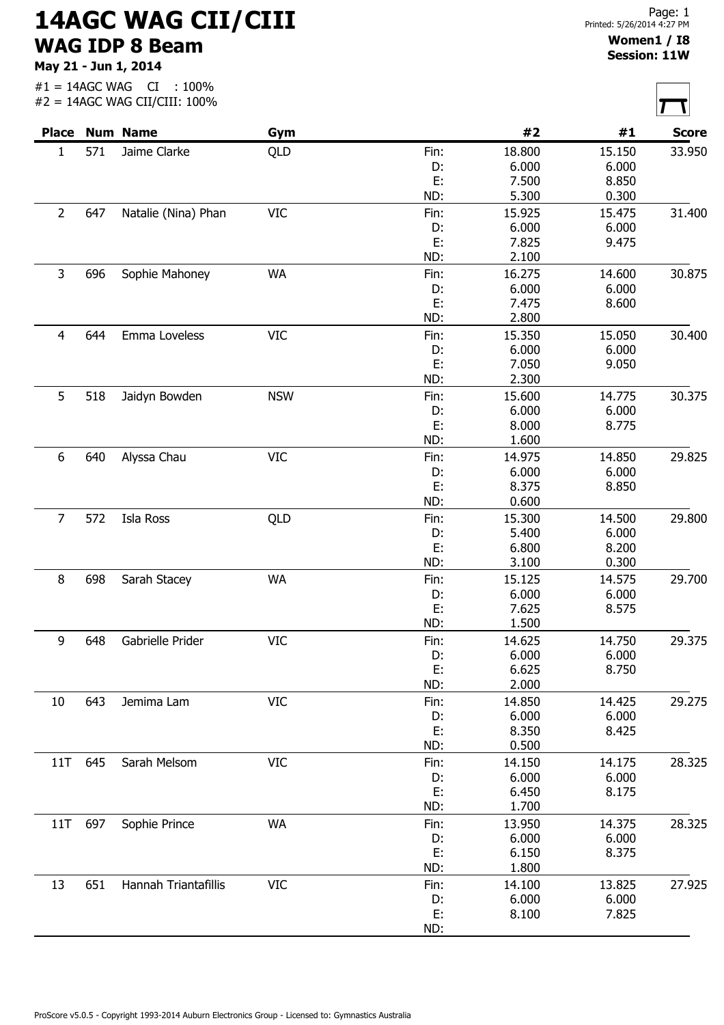## 14AGC WAG CII/CIII WAG IDP 8 Beam

May 21 - Jun 1, 2014

|  | $\#1 = 14$ AGC WAG CI : 100%  |  |  |
|--|-------------------------------|--|--|
|  | #2 = 14AGC WAG CII/CIII: 100% |  |  |

| Printed: 5/26/2014 4:27 PM |  |
|----------------------------|--|
| Women1 / I8                |  |

## Session: 11W

| <b>Place</b>   |     | <b>Num Name</b>             | Gym        |      | #2     | #1     | <b>Score</b> |
|----------------|-----|-----------------------------|------------|------|--------|--------|--------------|
| 1<br>571       |     | Jaime Clarke                | QLD        | Fin: | 18.800 | 15.150 | 33.950       |
|                |     |                             |            | D:   | 6.000  | 6.000  |              |
|                |     |                             |            | E:   | 7.500  | 8.850  |              |
|                |     |                             |            | ND:  | 5.300  | 0.300  |              |
| $\overline{2}$ | 647 | Natalie (Nina) Phan         | <b>VIC</b> | Fin: | 15.925 | 15.475 | 31.400       |
|                |     |                             |            | D:   | 6.000  | 6.000  |              |
|                |     |                             |            | E:   | 7.825  | 9.475  |              |
|                |     |                             |            | ND:  | 2.100  |        |              |
| 3              | 696 | Sophie Mahoney              | <b>WA</b>  | Fin: | 16.275 | 14.600 | 30.875       |
|                |     |                             |            | D:   | 6.000  | 6.000  |              |
|                |     |                             |            | E:   | 7.475  | 8.600  |              |
|                |     |                             |            | ND:  | 2.800  |        |              |
| 4              | 644 | Emma Loveless               | <b>VIC</b> | Fin: | 15.350 | 15.050 | 30.400       |
|                |     |                             |            | D:   | 6.000  | 6.000  |              |
|                |     |                             |            | E:   | 7.050  | 9.050  |              |
|                |     |                             |            | ND:  | 2.300  |        |              |
|                |     |                             |            |      |        |        |              |
| 5              | 518 | Jaidyn Bowden               | <b>NSW</b> | Fin: | 15.600 | 14.775 | 30.375       |
|                |     |                             |            | D:   | 6.000  | 6.000  |              |
|                |     |                             |            | E:   | 8.000  | 8.775  |              |
|                |     |                             |            | ND:  | 1.600  |        |              |
| 6              | 640 | Alyssa Chau                 | <b>VIC</b> | Fin: | 14.975 | 14.850 | 29.825       |
|                |     |                             |            | D:   | 6.000  | 6.000  |              |
|                |     |                             |            | E:   | 8.375  | 8.850  |              |
|                |     |                             |            | ND:  | 0.600  |        |              |
| $\overline{7}$ | 572 | Isla Ross                   | QLD        | Fin: | 15.300 | 14.500 | 29.800       |
|                |     |                             |            | D:   | 5.400  | 6.000  |              |
|                |     |                             |            | E:   | 6.800  | 8.200  |              |
|                |     |                             |            | ND:  | 3.100  | 0.300  |              |
| 8              | 698 | Sarah Stacey                | <b>WA</b>  | Fin: | 15.125 | 14.575 | 29.700       |
|                |     |                             |            | D:   | 6.000  | 6.000  |              |
|                |     |                             |            | E:   | 7.625  | 8.575  |              |
|                |     |                             |            | ND:  | 1.500  |        |              |
|                |     |                             |            |      |        |        | 29.375       |
| 9              | 648 | Gabrielle Prider            | <b>VIC</b> | Fin: | 14.625 | 14.750 |              |
|                |     |                             |            | D:   | 6.000  | 6.000  |              |
|                |     |                             |            | E:   | 6.625  | 8.750  |              |
|                |     |                             |            | ND:  | 2.000  |        |              |
| 10             | 643 | Jemima Lam                  | <b>VIC</b> | Fin: | 14.850 | 14.425 | 29.275       |
|                |     |                             |            | D:   | 6.000  | 6.000  |              |
|                |     |                             |            | E:   | 8.350  | 8.425  |              |
|                |     |                             |            | ND:  | 0.500  |        |              |
| 11T            | 645 | Sarah Melsom                | <b>VIC</b> | Fin: | 14.150 | 14.175 | 28.325       |
|                |     |                             |            | D:   | 6.000  | 6.000  |              |
|                |     |                             |            | E:   | 6.450  | 8.175  |              |
|                |     |                             |            | ND:  | 1.700  |        |              |
| 11T            | 697 | Sophie Prince               | <b>WA</b>  | Fin: | 13.950 | 14.375 | 28.325       |
|                |     |                             |            | D:   | 6.000  | 6.000  |              |
|                |     |                             |            | E:   | 6.150  | 8.375  |              |
|                |     |                             |            | ND:  | 1.800  |        |              |
| 13             | 651 | <b>Hannah Triantafillis</b> | <b>VIC</b> | Fin: | 14.100 | 13.825 | 27.925       |
|                |     |                             |            | D:   | 6.000  | 6.000  |              |
|                |     |                             |            | E:   | 8.100  | 7.825  |              |
|                |     |                             |            |      |        |        |              |